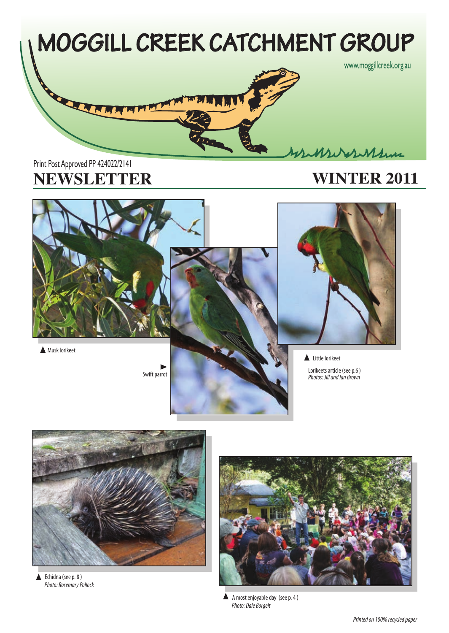

# **NEWSLETTER WINTER 2011** Print Post Approved PP 424022/2141



**A** Musk lorikeet





Little lorikeet

Lorikeets article (see p.6 )



*Photo: Rosemary Pollock* ▲ Echidna (see p. 8)



*Photo: Dale Borgelt* A A most enjoyable day (see p. 4)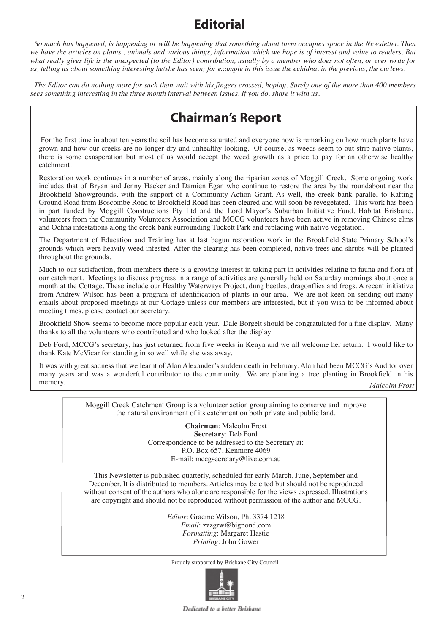# **Editorial**

 *So much has happened, is happening or will be happening that something about them occupies space in the Newsletter. Then we have the articles on plants , animals and various things, information which we hope is of interest and value to readers. But what really gives life is the unexpected (to the Editor) contribution, usually by a member who does not often, or ever write for us, telling us about something interesting he/she has seen; for example in this issue the echidna, in the previous, the curlews.*

 *The Editor can do nothing more for such than wait with his fingers crossed, hoping. Surely one of the more than 400 members sees something interesting in the three month interval between issues. If you do, share it with us.* 

# **Chairman's Report**

 For the first time in about ten years the soil has become saturated and everyone now is remarking on how much plants have grown and how our creeks are no longer dry and unhealthy looking. Of course, as weeds seem to out strip native plants, there is some exasperation but most of us would accept the weed growth as a price to pay for an otherwise healthy catchment.

Restoration work continues in a number of areas, mainly along the riparian zones of Moggill Creek. Some ongoing work includes that of Bryan and Jenny Hacker and Damien Egan who continue to restore the area by the roundabout near the Brookfield Showgrounds, with the support of a Community Action Grant. As well, the creek bank parallel to Rafting Ground Road from Boscombe Road to Brookfield Road has been cleared and will soon be revegetated. This work has been in part funded by Moggill Constructions Pty Ltd and the Lord Mayor's Suburban Initiative Fund. Habitat Brisbane, volunteers from the Community Volunteers Association and MCCG volunteers have been active in removing Chinese elms and Ochna infestations along the creek bank surrounding Tuckett Park and replacing with native vegetation.

The Department of Education and Training has at last begun restoration work in the Brookfield State Primary School's grounds which were heavily weed infested. After the clearing has been completed, native trees and shrubs will be planted throughout the grounds.

Much to our satisfaction, from members there is a growing interest in taking part in activities relating to fauna and flora of our catchment. Meetings to discuss progress in a range of activities are generally held on Saturday mornings about once a month at the Cottage. These include our Healthy Waterways Project, dung beetles, dragonflies and frogs. A recent initiative from Andrew Wilson has been a program of identification of plants in our area. We are not keen on sending out many emails about proposed meetings at our Cottage unless our members are interested, but if you wish to be informed about meeting times, please contact our secretary.

Brookfield Show seems to become more popular each year. Dale Borgelt should be congratulated for a fine display. Many thanks to all the volunteers who contributed and who looked after the display.

Deb Ford, MCCG's secretary, has just returned from five weeks in Kenya and we all welcome her return. I would like to thank Kate McVicar for standing in so well while she was away.

It was with great sadness that we learnt of Alan Alexander's sudden death in February. Alan had been MCCG's Auditor over many years and was a wonderful contributor to the community. We are planning a tree planting in Brookfield in his memory. *Malcolm Frost*

> Moggill Creek Catchment Group is a volunteer action group aiming to conserve and improve the natural environment of its catchment on both private and public land.

> > **Chairman**: Malcolm Frost **Secretar**y: Deb Ford Correspondence to be addressed to the Secretary at: P.O. Box 657, Kenmore 4069 E-mail: mccgsecretary@live.com.au

This Newsletter is published quarterly, scheduled for early March, June, September and December. It is distributed to members. Articles may be cited but should not be reproduced without consent of the authors who alone are responsible for the views expressed. Illustrations are copyright and should not be reproduced without permission of the author and MCCG.

> *Editor*: Graeme Wilson, Ph. 3374 1218 *Email*: zzzgrw@bigpond.com *Formatting*: Margaret Hastie *Printing*: John Gower

Proudly supported by Brisbane City Council



Dedicated to a hetter Brishane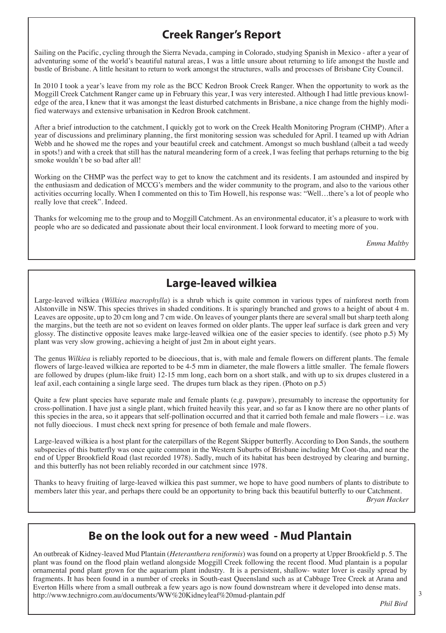## **Creek Ranger's Report**

Sailing on the Pacific, cycling through the Sierra Nevada, camping in Colorado, studying Spanish in Mexico - after a year of adventuring some of the world's beautiful natural areas, I was a little unsure about returning to life amongst the hustle and bustle of Brisbane. A little hesitant to return to work amongst the structures, walls and processes of Brisbane City Council.

In 2010 I took a year's leave from my role as the BCC Kedron Brook Creek Ranger. When the opportunity to work as the Moggill Creek Catchment Ranger came up in February this year, I was very interested. Although I had little previous knowledge of the area, I knew that it was amongst the least disturbed catchments in Brisbane, a nice change from the highly modified waterways and extensive urbanisation in Kedron Brook catchment.

After a brief introduction to the catchment, I quickly got to work on the Creek Health Monitoring Program (CHMP). After a year of discussions and preliminary planning, the first monitoring session was scheduled for April. I teamed up with Adrian Webb and he showed me the ropes and your beautiful creek and catchment. Amongst so much bushland (albeit a tad weedy in spots!) and with a creek that still has the natural meandering form of a creek, I was feeling that perhaps returning to the big smoke wouldn't be so bad after all!

Working on the CHMP was the perfect way to get to know the catchment and its residents. I am astounded and inspired by the enthusiasm and dedication of MCCG's members and the wider community to the program, and also to the various other activities occurring locally. When I commented on this to Tim Howell, his response was: "Well…there's a lot of people who really love that creek". Indeed.

Thanks for welcoming me to the group and to Moggill Catchment. As an environmental educator, it's a pleasure to work with people who are so dedicated and passionate about their local environment. I look forward to meeting more of you.

*Emma Maltby*

## **Large-leaved wilkiea**

Large-leaved wilkiea (*Wilkiea macrophylla*) is a shrub which is quite common in various types of rainforest north from Alstonville in NSW. This species thrives in shaded conditions. It is sparingly branched and grows to a height of about 4 m. Leaves are opposite, up to 20 cm long and 7 cm wide. On leaves of younger plants there are several small but sharp teeth along the margins, but the teeth are not so evident on leaves formed on older plants. The upper leaf surface is dark green and very glossy. The distinctive opposite leaves make large-leaved wilkiea one of the easier species to identify. (see photo p.5) My plant was very slow growing, achieving a height of just 2m in about eight years.

The genus *Wilkiea* is reliably reported to be dioecious, that is, with male and female flowers on different plants. The female flowers of large-leaved wilkiea are reported to be 4-5 mm in diameter, the male flowers a little smaller. The female flowers are followed by drupes (plum-like fruit) 12-15 mm long, each born on a short stalk, and with up to six drupes clustered in a leaf axil, each containing a single large seed. The drupes turn black as they ripen. (Photo on p.5)

Quite a few plant species have separate male and female plants (e.g. pawpaw), presumably to increase the opportunity for cross-pollination. I have just a single plant, which fruited heavily this year, and so far as I know there are no other plants of this species in the area, so it appears that self-pollination occurred and that it carried both female and male flowers – i.e. was not fully dioecious. I must check next spring for presence of both female and male flowers.

Large-leaved wilkiea is a host plant for the caterpillars of the Regent Skipper butterfly. According to Don Sands, the southern subspecies of this butterfly was once quite common in the Western Suburbs of Brisbane including Mt Coot-tha, and near the end of Upper Brookfield Road (last recorded 1978). Sadly, much of its habitat has been destroyed by clearing and burning, and this butterfly has not been reliably recorded in our catchment since 1978.

Thanks to heavy fruiting of large-leaved wilkiea this past summer, we hope to have good numbers of plants to distribute to members later this year, and perhaps there could be an opportunity to bring back this beautiful butterfly to our Catchment.

*Bryan Hacker*

#### **Be on the look out for a new weed - Mud Plantain**

An outbreak of Kidney-leaved Mud Plantain (*Heteranthera reniformis*) was found on a property at Upper Brookfield p. 5. The plant was found on the flood plain wetland alongside Moggill Creek following the recent flood. Mud plantain is a popular ornamental pond plant grown for the aquarium plant industry. It is a persistent, shallow- water lover is easily spread by fragments. It has been found in a number of creeks in South-east Queensland such as at Cabbage Tree Creek at Arana and Everton Hills where from a small outbreak a few years ago is now found downstream where it developed into dense mats. http://www.technigro.com.au/documents/WW%20Kidneyleaf%20mud-plantain.pdf

3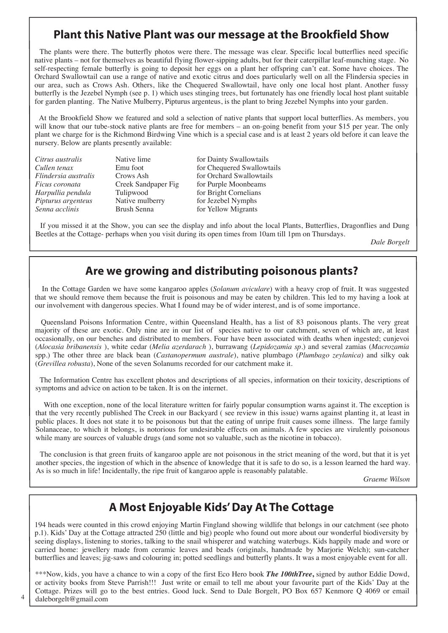#### **Plant this Native Plant was our message at the Brookfield Show**

 The plants were there. The butterfly photos were there. The message was clear. Specific local butterflies need specific native plants – not for themselves as beautiful flying flower-sipping adults, but for their caterpillar leaf-munching stage. No self-respecting female butterfly is going to deposit her eggs on a plant her offspring can't eat. Some have choices. The Orchard Swallowtail can use a range of native and exotic citrus and does particularly well on all the Flindersia species in our area, such as Crows Ash. Others, like the Chequered Swallowtail, have only one local host plant. Another fussy butterfly is the Jezebel Nymph (see p. 1) which uses stinging trees, but fortunately has one friendly local host plant suitable for garden planting. The Native Mulberry, Pipturus argenteus, is the plant to bring Jezebel Nymphs into your garden.

 At the Brookfield Show we featured and sold a selection of native plants that support local butterflies. As members, you will know that our tube-stock native plants are free for members – an on-going benefit from your \$15 per year. The only plant we charge for is the Richmond Birdwing Vine which is a special case and is at least 2 years old before it can leave the nursery. Below are plants presently available:

| Citrus australis     |
|----------------------|
| Cullen tenax         |
| Flindersia australis |
| Ficus coronata       |
| Harpullia pendula    |
| Pipturus argenteus   |
| Senna acclinis       |

Tulipwood for Bright Cornelians<br>
Native mulberry for Jezebel Nymphs **Physical Piper Argentisian** For Jezebel Nymphs<br> *Prush Senna* for Yellow Migrants

Native lime for Dainty Swallowtails Emu foot for Chequered Swallowtails<br> **Crows Ash** for Orchard Swallowtails **Fridders Crows Ash for Orchard Swallowtails**<br>Creek Sandpaper Fig for Purple Moonbeams for Purple Moonbeams for Yellow Migrants

 If you missed it at the Show, you can see the display and info about the local Plants, Butterflies, Dragonflies and Dung Beetles at the Cottage- perhaps when you visit during its open times from 10am till 1pm on Thursdays.

*Dale Borgelt*

#### **Are we growing and distributing poisonous plants?**

 In the Cottage Garden we have some kangaroo apples (*Solanum aviculare*) with a heavy crop of fruit. It was suggested that we should remove them because the fruit is poisonous and may be eaten by children. This led to my having a look at our involvement with dangerous species. What I found may be of wider interest, and is of some importance.

 Queensland Poisons Information Centre, within Queensland Health, has a list of 83 poisonous plants. The very great majority of these are exotic. Only nine are in our list of species native to our catchment, seven of which are, at least occasionally, on our benches and distributed to members. Four have been associated with deaths when ingested; cunjevoi (*Alocasia bribanensis* ), white cedar (*Melia azerdarach* ), burrawang (*Lepidozamia sp.*) and several zamias (*Macrozamia*  spp.) The other three are black bean (*Castanopermum australe*), native plumbago (*Plumbago zeylanica*) and silky oak (*Grevillea robusta*), None of the seven Solanums recorded for our catchment make it.

 The Information Centre has excellent photos and descriptions of all species, information on their toxicity, descriptions of symptoms and advice on action to be taken. It is on the internet.

 With one exception, none of the local literature written for fairly popular consumption warns against it. The exception is that the very recently published The Creek in our Backyard ( see review in this issue) warns against planting it, at least in public places. It does not state it to be poisonous but that the eating of unripe fruit causes some illness. The large family Solanaceae, to which it belongs, is notorious for undesirable effects on animals. A few species are virulently poisonous while many are sources of valuable drugs (and some not so valuable, such as the nicotine in tobacco).

 The conclusion is that green fruits of kangaroo apple are not poisonous in the strict meaning of the word, but that it is yet another species, the ingestion of which in the absence of knowledge that it is safe to do so, is a lesson learned the hard way. As is so much in life! Incidentally, the ripe fruit of kangaroo apple is reasonably palatable.

*Graeme Wilson*

## **A Most Enjoyable Kids' Day At The Cottage**

194 heads were counted in this crowd enjoying Martin Fingland showing wildlife that belongs in our catchment (see photo p.1). Kids' Day at the Cottage attracted 250 (little and big) people who found out more about our wonderful biodiversity by seeing displays, listening to stories, talking to the snail whisperer and watching waterbugs. Kids happily made and wore or carried home: jewellery made from ceramic leaves and beads (originals, handmade by Marjorie Welch); sun-catcher butterflies and leaves; jig-saws and colouring in; potted seedlings and butterfly plants. It was a most enjoyable event for all.

\*\*\*Now, kids, you have a chance to win a copy of the first Eco Hero book *The 100thTree***,** signed by author Eddie Dowd, or activity books from Steve Parrish!!! Just write or email to tell me about your favourite part of the Kids' Day at the Cottage. Prizes will go to the best entries. Good luck. Send to Dale Borgelt, PO Box 657 Kenmore Q 4069 or email daleborgelt@gmail.com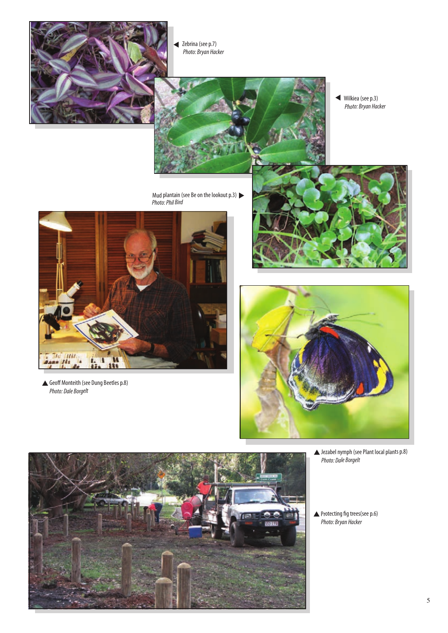

Zebrina (see p.7) *Photo: Bryan Hacker*



Mud plantain (see Be on the lookout p.3) *Photo: Phil Bird*

Wilkiea (see p.3) *Photo: Bryan Hacker*



Geoff Monteith (see Dung Beetles p.8) *Photo: Dale Borgelt*





Jezabel nymph (see Plant local plants p.8) *Photo: Dale Borgelt*

Protecting fig trees(see p.6) *Photo: Bryan Hacker*

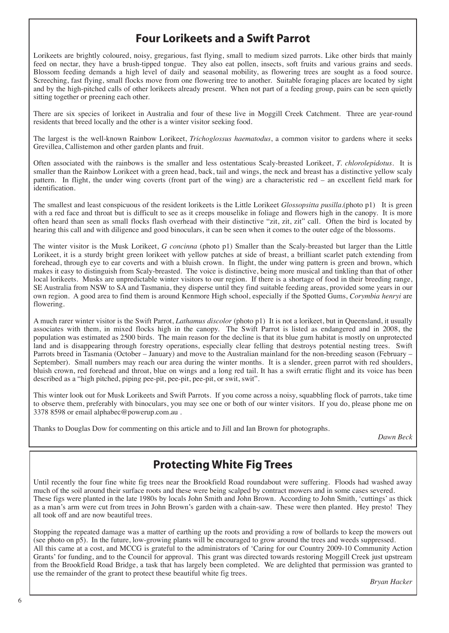#### **Four Lorikeets and a Swift Parrot**

Lorikeets are brightly coloured, noisy, gregarious, fast flying, small to medium sized parrots. Like other birds that mainly feed on nectar, they have a brush-tipped tongue. They also eat pollen, insects, soft fruits and various grains and seeds. Blossom feeding demands a high level of daily and seasonal mobility, as flowering trees are sought as a food source. Screeching, fast flying, small flocks move from one flowering tree to another. Suitable foraging places are located by sight and by the high-pitched calls of other lorikeets already present. When not part of a feeding group, pairs can be seen quietly sitting together or preening each other.

There are six species of lorikeet in Australia and four of these live in Moggill Creek Catchment. Three are year-round residents that breed locally and the other is a winter visitor seeking food.

The largest is the well-known Rainbow Lorikeet, *Trichoglossus haematodus*, a common visitor to gardens where it seeks Grevillea, Callistemon and other garden plants and fruit.

Often associated with the rainbows is the smaller and less ostentatious Scaly-breasted Lorikeet, *T. chlorolepidotus*. It is smaller than the Rainbow Lorikeet with a green head, back, tail and wings, the neck and breast has a distinctive yellow scaly pattern. In flight, the under wing coverts (front part of the wing) are a characteristic red – an excellent field mark for identification.

The smallest and least conspicuous of the resident lorikeets is the Little Lorikeet *Glossopsitta pusilla*.(photo p1) It is green with a red face and throat but is difficult to see as it creeps mouselike in foliage and flowers high in the canopy. It is more often heard than seen as small flocks flash overhead with their distinctive "zit, zit, zit" call. Often the bird is located by hearing this call and with diligence and good binoculars, it can be seen when it comes to the outer edge of the blossoms.

The winter visitor is the Musk Lorikeet, *G concinna* (photo p1) Smaller than the Scaly-breasted but larger than the Little Lorikeet, it is a sturdy bright green lorikeet with yellow patches at side of breast, a brilliant scarlet patch extending from forehead, through eye to ear coverts and with a bluish crown. In flight, the under wing pattern is green and brown, which makes it easy to distinguish from Scaly-breasted. The voice is distinctive, being more musical and tinkling than that of other local lorikeets. Musks are unpredictable winter visitors to our region. If there is a shortage of food in their breeding range, SE Australia from NSW to SA and Tasmania, they disperse until they find suitable feeding areas, provided some years in our own region. A good area to find them is around Kenmore High school, especially if the Spotted Gums, *Corymbia henryi* are flowering.

A much rarer winter visitor is the Swift Parrot, *Lathamus discolor* (photo p1) It is not a lorikeet, but in Queensland, it usually associates with them, in mixed flocks high in the canopy. The Swift Parrot is listed as endangered and in 2008, the population was estimated as 2500 birds. The main reason for the decline is that its blue gum habitat is mostly on unprotected land and is disappearing through forestry operations, especially clear felling that destroys potential nesting trees. Swift Parrots breed in Tasmania (October – January) and move to the Australian mainland for the non-breeding season (February – September). Small numbers may reach our area during the winter months. It is a slender, green parrot with red shoulders, bluish crown, red forehead and throat, blue on wings and a long red tail. It has a swift erratic flight and its voice has been described as a "high pitched, piping pee-pit, pee-pit, pee-pit, or swit, swit".

This winter look out for Musk Lorikeets and Swift Parrots. If you come across a noisy, squabbling flock of parrots, take time to observe them, preferably with binoculars, you may see one or both of our winter visitors. If you do, please phone me on 3378 8598 or email alphabec@powerup.com.au .

Thanks to Douglas Dow for commenting on this article and to Jill and Ian Brown for photographs.

*Dawn Beck*

#### **Protecting White Fig Trees**

Until recently the four fine white fig trees near the Brookfield Road roundabout were suffering. Floods had washed away much of the soil around their surface roots and these were being scalped by contract mowers and in some cases severed. These figs were planted in the late 1980s by locals John Smith and John Brown. According to John Smith, 'cuttings' as thick as a man's arm were cut from trees in John Brown's garden with a chain-saw. These were then planted. Hey presto! They all took off and are now beautiful trees.

Stopping the repeated damage was a matter of earthing up the roots and providing a row of bollards to keep the mowers out (see photo on p5). In the future, low-growing plants will be encouraged to grow around the trees and weeds suppressed. All this came at a cost, and MCCG is grateful to the administrators of 'Caring for our Country 2009-10 Community Action Grants' for funding, and to the Council for approval. This grant was directed towards restoring Moggill Creek just upstream from the Brookfield Road Bridge, a task that has largely been completed. We are delighted that permission was granted to use the remainder of the grant to protect these beautiful white fig trees.

*Bryan Hacker*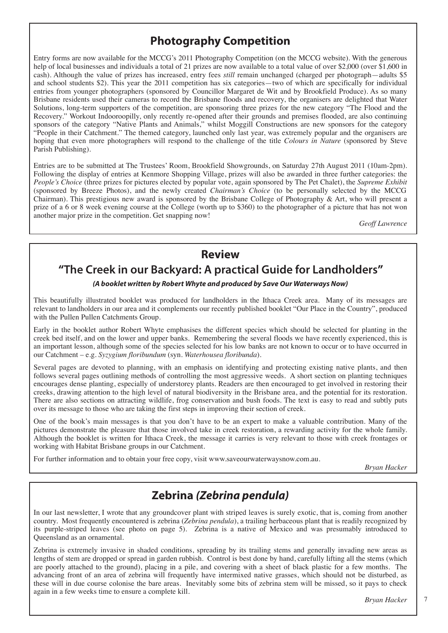## **Photography Competition**

Entry forms are now available for the MCCG's 2011 Photography Competition (on the MCCG website). With the generous help of local businesses and individuals a total of 21 prizes are now available to a total value of over \$2,000 (over \$1,600 in cash). Although the value of prizes has increased, entry fees *still* remain unchanged (charged per photograph—adults \$5 and school students \$2). This year the 2011 competition has six categories—two of which are specifically for individual entries from younger photographers (sponsored by Councillor Margaret de Wit and by Brookfield Produce). As so many Brisbane residents used their cameras to record the Brisbane floods and recovery, the organisers are delighted that Water Solutions, long-term supporters of the competition, are sponsoring three prizes for the new category "The Flood and the Recovery." Workout Indooroopilly, only recently re-opened after their grounds and premises flooded, are also continuing sponsors of the category "Native Plants and Animals," whilst Moggill Constructions are new sponsors for the category "People in their Catchment." The themed category, launched only last year, was extremely popular and the organisers are hoping that even more photographers will respond to the challenge of the title *Colours in Nature* (sponsored by Steve Parish Publishing).

Entries are to be submitted at The Trustees' Room, Brookfield Showgrounds, on Saturday 27th August 2011 (10am-2pm). Following the display of entries at Kenmore Shopping Village, prizes will also be awarded in three further categories: the *People's Choice* (three prizes for pictures elected by popular vote, again sponsored by The Pet Chalet), the *Supreme Exhibit*  (sponsored by Breeze Photos), and the newly created *Chairman's Choice* (to be personally selected by the MCCG Chairman). This prestigious new award is sponsored by the Brisbane College of Photography & Art, who will present a prize of a 6 or 8 week evening course at the College (worth up to \$360) to the photographer of a picture that has not won another major prize in the competition. Get snapping now!

*Geoff Lawrence*

#### **Review**

#### **"The Creek in our Backyard: A practical Guide for Landholders"**

#### *(A booklet written by Robert Whyte and produced by Save Our Waterways Now)*

This beautifully illustrated booklet was produced for landholders in the Ithaca Creek area. Many of its messages are relevant to landholders in our area and it complements our recently published booklet "Our Place in the Country", produced with the Pullen Pullen Catchments Group.

Early in the booklet author Robert Whyte emphasises the different species which should be selected for planting in the creek bed itself, and on the lower and upper banks. Remembering the several floods we have recently experienced, this is an important lesson, although some of the species selected for his low banks are not known to occur or to have occurred in our Catchment – e.g. *Syzygium floribundum* (syn. *Waterhousea floribunda*).

Several pages are devoted to planning, with an emphasis on identifying and protecting existing native plants, and then follows several pages outlining methods of controlling the most aggressive weeds. A short section on planting techniques encourages dense planting, especially of understorey plants. Readers are then encouraged to get involved in restoring their creeks, drawing attention to the high level of natural biodiversity in the Brisbane area, and the potential for its restoration. There are also sections on attracting wildlife, frog conservation and bush foods. The text is easy to read and subtly puts over its message to those who are taking the first steps in improving their section of creek.

One of the book's main messages is that you don't have to be an expert to make a valuable contribution. Many of the pictures demonstrate the pleasure that those involved take in creek restoration, a rewarding activity for the whole family. Although the booklet is written for Ithaca Creek, the message it carries is very relevant to those with creek frontages or working with Habitat Brisbane groups in our Catchment.

For further information and to obtain your free copy, visit www.saveourwaterwaysnow.com.au.

*Bryan Hacker*

## **Zebrina** *(Zebrina pendula)*

In our last newsletter, I wrote that any groundcover plant with striped leaves is surely exotic, that is, coming from another country. Most frequently encountered is zebrina (*Zebrina pendula*), a trailing herbaceous plant that is readily recognized by its purple-striped leaves (see photo on page 5). Zebrina is a native of Mexico and was presumably introduced to Queensland as an ornamental.

Zebrina is extremely invasive in shaded conditions, spreading by its trailing stems and generally invading new areas as lengths of stem are dropped or spread in garden rubbish. Control is best done by hand, carefully lifting all the stems (which are poorly attached to the ground), placing in a pile, and covering with a sheet of black plastic for a few months. The advancing front of an area of zebrina will frequently have intermixed native grasses, which should not be disturbed, as these will in due course colonise the bare areas. Inevitably some bits of zebrina stem will be missed, so it pays to check again in a few weeks time to ensure a complete kill.